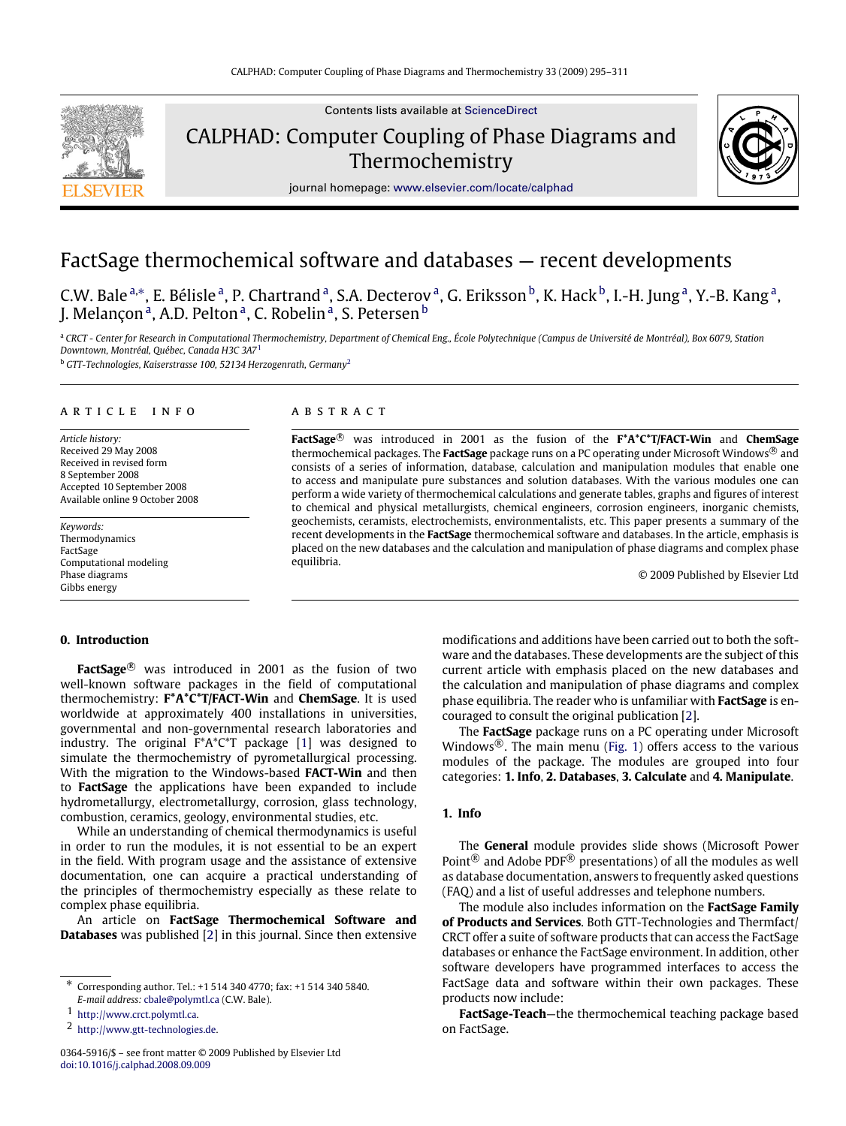

Contents lists available at [ScienceDirect](http://www.elsevier.com/locate/calphad)

# CALPHAD: Computer Coupling of Phase Diagrams and Thermochemistry



journal homepage: [www.elsevier.com/locate/calphad](http://www.elsevier.com/locate/calphad)

# FactSage thermochemical software and databases — recent developments

C.W. Bale <sup>a,</sup>\*, E. Bélisle <sup>a</sup>, P. Chartrand <sup>a</sup>, S.A. Decterov <sup>a</sup>, G. Eriksson <sup>b</sup>, K. Hack <sup>b</sup>, I.-H. Jung <sup>a</sup>, Y.-B. Kang <sup>a</sup>, J. Melançonª, A.D. Peltonª, C. Robelinª, S. Petersen<sup>b</sup>

<sup>a</sup> *CRCT - Center for Research in Computational Thermochemistry, Department of Chemical Eng., École Polytechnique (Campus de Université de Montréal), Box 6079, Station Downtown, Montréal, Québec, Canada H3C 3A7*1 <sup>b</sup> *GTT-Technologies, Kaiserstrasse 100, 52134 Herzogenrath, Germany*2

# ARTICLE INFO

*Article history:* Received 29 May 2008 Received in revised form 8 September 2008 Accepted 10 September 2008 Available online 9 October 2008

*Keywords:* Thermodynamics FactSage Computational modeling Phase diagrams Gibbs energy

## **0. Introduction**

FactSage<sup>®</sup> was introduced in 2001 as the fusion of two well-known software packages in the field of computational thermochemistry: **F\*A\*C\*T/FACT-Win** and **ChemSage**. It is used worldwide at approximately 400 installations in universities, governmental and non-governmental research laboratories and industry. The original F\*A\*C\*T package [1] was designed to simulate the thermochemistry of pyrometallurgical processing. With the migration to the Windows-based **FACT-Win** and then to **FactSage** the applications have been expanded to include hydrometallurgy, electrometallurgy, corrosion, glass technology, combustion, ceramics, geology, environmental studies, etc.

While an understanding of chemical thermodynamics is useful in order to run the modules, it is not essential to be an expert in the field. With program usage and the assistance of extensive documentation, one can acquire a practical understanding of the principles of thermochemistry especially as these relate to complex phase equilibria.

An article on **FactSage Thermochemical Software and Databases** was published [2] in this journal. Since then extensive

#### A B S T R A C T

FactSage<sup>®</sup> was introduced in 2001 as the fusion of the F<sup>\*</sup>A<sup>\*</sup>C<sup>\*</sup>T/FACT-Win and ChemSage thermochemical packages. The Fa**ctSage** package runs on a PC operating under Microsoft Windows® and consists of a series of information, database, calculation and manipulation modules that enable one to access and manipulate pure substances and solution databases. With the various modules one can perform a wide variety of thermochemical calculations and generate tables, graphs and figures of interest to chemical and physical metallurgists, chemical engineers, corrosion engineers, inorganic chemists, geochemists, ceramists, electrochemists, environmentalists, etc. This paper presents a summary of the recent developments in the **FactSage** thermochemical software and databases. In the article, emphasis is placed on the new databases and the calculation and manipulation of phase diagrams and complex phase equilibria.

© 2009 Published by Elsevier Ltd

modifications and additions have been carried out to both the software and the databases. These developments are the subject of this current article with emphasis placed on the new databases and the calculation and manipulation of phase diagrams and complex phase equilibria. The reader who is unfamiliar with **FactSage** is encouraged to consult the original publication [2].

The **FactSage** package runs on a PC operating under Microsoft Windows<sup>®</sup>. The main menu (Fig. 1) offers access to the various modules of the package. The modules are grouped into four categories: **1. Info**, **2. Databases**, **3. Calculate** and **4. Manipulate**.

## **1. Info**

The **General** module provides slide shows (Microsoft Power Point<sup>®</sup> and Adobe PDF<sup>®</sup> presentations) of all the modules as well as database documentation, answers to frequently asked questions (FAQ) and a list of useful addresses and telephone numbers.

The module also includes information on the **FactSage Family of Products and Services**. Both GTT-Technologies and Thermfact/ CRCT offer a suite of software products that can access the FactSage databases or enhance the FactSage environment. In addition, other software developers have programmed interfaces to access the FactSage data and software within their own packages. These products now include:

**FactSage-Teach**—the thermochemical teaching package based on FactSage.

<sup>∗</sup> Corresponding author. Tel.: +1 514 340 4770; fax: +1 514 340 5840. *E-mail address:* [cbale@polymtl.ca](mailto:cbale@polymtl.ca) (C.W. Bale).

<sup>1</sup> [http://www.crct.polymtl.ca.](http://www.crct.polymtl.ca)

<sup>2</sup> [http://www.gtt-technologies.de.](http://www.gtt-technologies.de)

<sup>0364-5916/\$ –</sup> see front matter © 2009 Published by Elsevier Ltd [doi:10.1016/j.calphad.2008.09.009](http://dx.doi.org/10.1016/j.calphad.2008.09.009)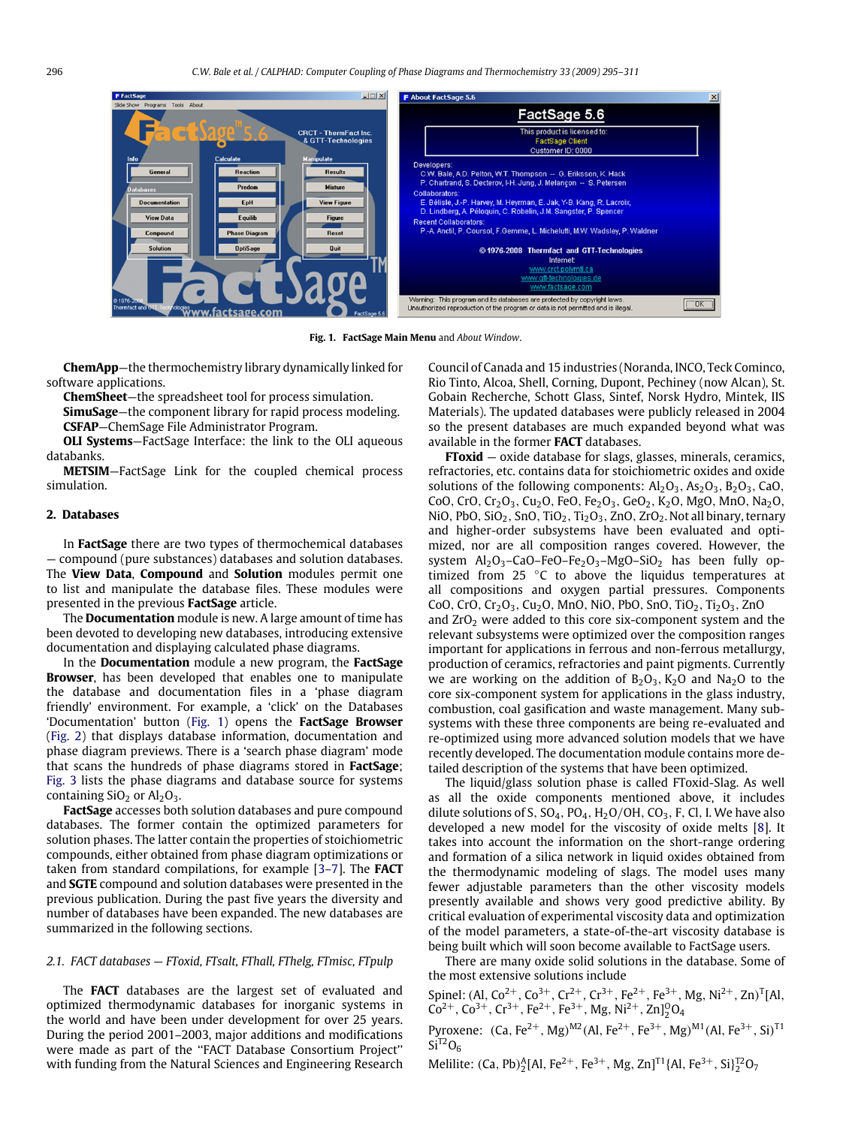

**Fig. 1. FactSage Main Menu** and *About Window*.

**ChemApp**—the thermochemistry library dynamically linked for software applications.

**ChemSheet**—the spreadsheet tool for process simulation.

**SimuSage**—the component library for rapid process modeling.

**CSFAP**—ChemSage File Administrator Program.

**OLI Systems**—FactSage Interface: the link to the OLI aqueous databanks.

**METSIM**—FactSage Link for the coupled chemical process simulation.

### **2. Databases**

In **FactSage** there are two types of thermochemical databases — compound (pure substances) databases and solution databases. The **View Data**, **Compound** and **Solution** modules permit one to list and manipulate the database files. These modules were presented in the previous **FactSage** article.

The **Documentation** module is new. A large amount of time has been devoted to developing new databases, introducing extensive documentation and displaying calculated phase diagrams.

In the **Documentation** module a new program, the **FactSage Browser**, has been developed that enables one to manipulate the database and documentation files in a 'phase diagram friendly' environment. For example, a 'click' on the Databases 'Documentation' button (Fig. 1) opens the **FactSage Browser** (Fig. 2) that displays database information, documentation and phase diagram previews. There is a 'search phase diagram' mode that scans the hundreds of phase diagrams stored in **FactSage**; Fig. 3 lists the phase diagrams and database source for systems containing  $SiO<sub>2</sub>$  or  $Al<sub>2</sub>O<sub>3</sub>$ .

**FactSage** accesses both solution databases and pure compound databases. The former contain the optimized parameters for solution phases. The latter contain the properties of stoichiometric compounds, either obtained from phase diagram optimizations or taken from standard compilations, for example [3–7]. The **FACT** and **SGTE** compound and solution databases were presented in the previous publication. During the past five years the diversity and number of databases have been expanded. The new databases are summarized in the following sections.

### *2.1. FACT databases — FToxid, FTsalt, FThall, FThelg, FTmisc, FTpulp*

The **FACT** databases are the largest set of evaluated and optimized thermodynamic databases for inorganic systems in the world and have been under development for over 25 years. During the period 2001–2003, major additions and modifications were made as part of the ''FACT Database Consortium Project'' with funding from the Natural Sciences and Engineering Research Council of Canada and 15 industries (Noranda, INCO, Teck Cominco, Rio Tinto, Alcoa, Shell, Corning, Dupont, Pechiney (now Alcan), St. Gobain Recherche, Schott Glass, Sintef, Norsk Hydro, Mintek, IIS Materials). The updated databases were publicly released in 2004 so the present databases are much expanded beyond what was available in the former **FACT** databases.

**FToxid** — oxide database for slags, glasses, minerals, ceramics, refractories, etc. contains data for stoichiometric oxides and oxide solutions of the following components:  $Al_2O_3$ ,  $As_2O_3$ ,  $B_2O_3$ , CaO, CoO, CrO, Cr<sub>2</sub>O<sub>3</sub>, Cu<sub>2</sub>O, FeO, Fe<sub>2</sub>O<sub>3</sub>, GeO<sub>2</sub>, K<sub>2</sub>O, MgO, MnO, Na<sub>2</sub>O, NiO, PbO, SiO<sub>2</sub>, SnO, TiO<sub>2</sub>, Ti<sub>2</sub>O<sub>3</sub>, ZnO, ZrO<sub>2</sub>. Not all binary, ternary and higher-order subsystems have been evaluated and optimized, nor are all composition ranges covered. However, the system  $Al_2O_3$ -CaO-FeO-Fe<sub>2</sub>O<sub>3</sub>-MgO-SiO<sub>2</sub> has been fully optimized from 25 ◦C to above the liquidus temperatures at all compositions and oxygen partial pressures. Components CoO, CrO, Cr2O3, Cu2O, MnO, NiO, PbO, SnO, TiO2, Ti2O3, ZnO and  $ZrO<sub>2</sub>$  were added to this core six-component system and the relevant subsystems were optimized over the composition ranges important for applications in ferrous and non-ferrous metallurgy, production of ceramics, refractories and paint pigments. Currently we are working on the addition of  $B_2O_3$ ,  $K_2O$  and  $Na_2O$  to the core six-component system for applications in the glass industry, combustion, coal gasification and waste management. Many subsystems with these three components are being re-evaluated and re-optimized using more advanced solution models that we have recently developed. The documentation module contains more detailed description of the systems that have been optimized.

The liquid/glass solution phase is called FToxid-Slag. As well as all the oxide components mentioned above, it includes dilute solutions of S,  $SO_4$ ,  $PO_4$ ,  $H_2O/OH$ ,  $CO_3$ , F, Cl, I. We have also developed a new model for the viscosity of oxide melts [8]. It takes into account the information on the short-range ordering and formation of a silica network in liquid oxides obtained from the thermodynamic modeling of slags. The model uses many fewer adjustable parameters than the other viscosity models presently available and shows very good predictive ability. By critical evaluation of experimental viscosity data and optimization of the model parameters, a state-of-the-art viscosity database is being built which will soon become available to FactSage users.

There are many oxide solid solutions in the database. Some of the most extensive solutions include

Spinel: (Al, Co<sup>2+</sup>, Co<sup>3+</sup>, Cr<sup>2+</sup>, Cr<sup>3+</sup>, Fe<sup>2+</sup>, Fe<sup>3+</sup>, Mg, Ni<sup>2+</sup>, Zn)<sup>T</sup>[Al,  $Co^{2+}$ ,  $Co^{3+}$ ,  $Cr^{3+}$ ,  $Fe^{2+}$ ,  $Fe^{3+}$ ,  $Mg$ ,  $Ni^{2+}$ ,  $Zn]_2^0O_4$ 

Pyroxene:  $(Ca, Fe^{2+}, Mg)^{M2}(Al, Fe^{2+}, Fe^{3+}, Mg)^{M1}(Al, Fe^{3+}, Si)^{T1}$  $Si^{T2}O<sub>6</sub>$ 

Melilite: (Ca, Pb) $^{A}_{2}$ [Al, Fe<sup>2+</sup>, Fe<sup>3+</sup>, Mg, Zn]<sup>T1</sup>{Al, Fe<sup>3+</sup>, Si}<sub>2</sub><sup>T2</sup>O<sub>7</sub>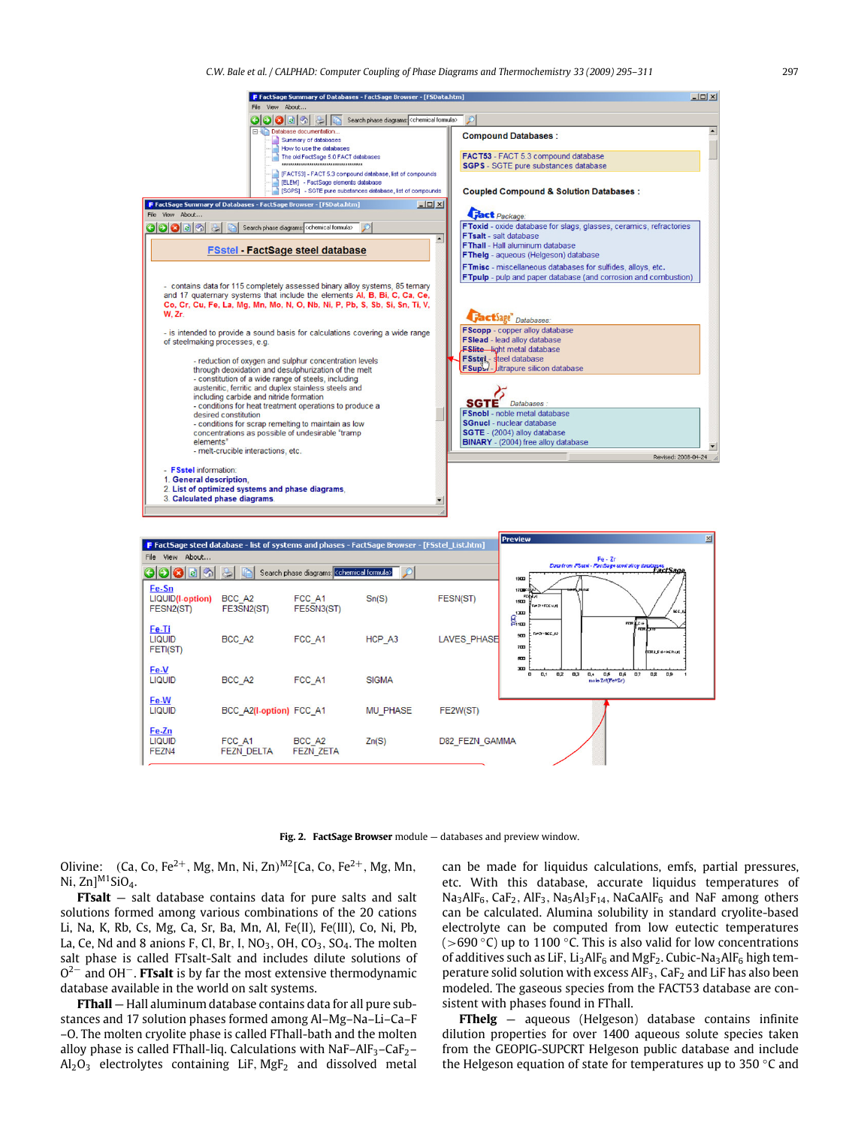**Fig. 2. FactSage Browser** module — databases and preview window.

Olivine:  $(Ca, Co, Fe^{2+}, Mg, Mn, Ni, Zn)^{M2}[Ca, Co, Fe^{2+}, Mg, Mn,$ Ni, Zn] $^{M1}$ SiO<sub>4</sub>.

**FTsalt** — salt database contains data for pure salts and salt solutions formed among various combinations of the 20 cations Li, Na, K, Rb, Cs, Mg, Ca, Sr, Ba, Mn, Al, Fe(II), Fe(III), Co, Ni, Pb, La, Ce, Nd and 8 anions F, Cl, Br, I,  $NO<sub>3</sub>$ , OH,  $CO<sub>3</sub>$ , SO<sub>4</sub>. The molten salt phase is called FTsalt-Salt and includes dilute solutions of O <sup>2</sup><sup>−</sup> and OH−. **FTsalt** is by far the most extensive thermodynamic database available in the world on salt systems.

**FThall** — Hall aluminum database contains data for all pure substances and 17 solution phases formed among Al–Mg–Na–Li–Ca–F –O. The molten cryolite phase is called FThall-bath and the molten alloy phase is called FThall-liq. Calculations with NaF-AlF<sub>3</sub>-CaF<sub>2</sub>- $Al_2O_3$  electrolytes containing LiF, MgF<sub>2</sub> and dissolved metal can be made for liquidus calculations, emfs, partial pressures, etc. With this database, accurate liquidus temperatures of  $Na<sub>3</sub>AIF<sub>6</sub>, CaF<sub>2</sub>, AlF<sub>3</sub>, Na<sub>5</sub>Al<sub>3</sub>F<sub>14</sub>, NaCaAlF<sub>6</sub> and NaF among others$ can be calculated. Alumina solubility in standard cryolite-based electrolyte can be computed from low eutectic temperatures (>690 °C) up to 1100 °C. This is also valid for low concentrations of additives such as LiF, Li<sub>3</sub>AlF<sub>6</sub> and MgF<sub>2</sub>. Cubic-Na<sub>3</sub>AlF<sub>6</sub> high temperature solid solution with excess AlF<sub>3</sub>, CaF<sub>2</sub> and LiF has also been modeled. The gaseous species from the FACT53 database are consistent with phases found in FThall.

**FThelg** — aqueous (Helgeson) database contains infinite dilution properties for over 1400 aqueous solute species taken from the GEOPIG-SUPCRT Helgeson public database and include the Helgeson equation of state for temperatures up to 350 ◦C and